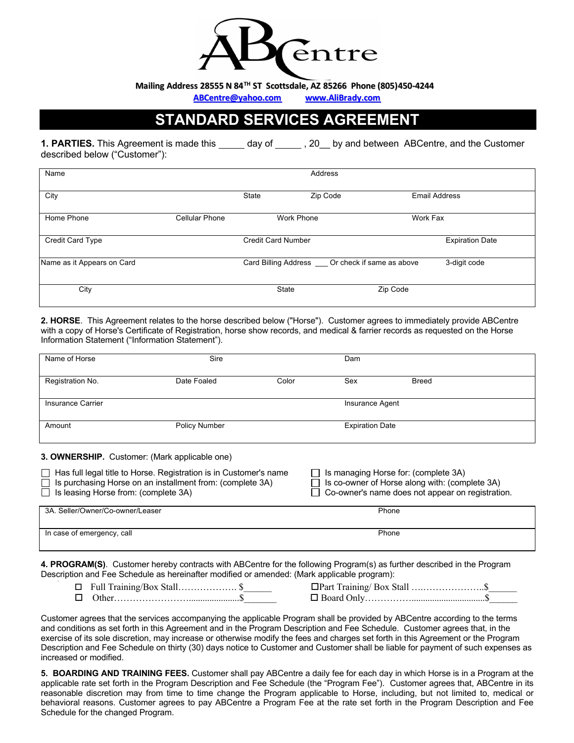

**Mailing Address 28555 N84TH ST Scottsdale, AZ 85266 Phone (805)450-4244**

**ABCentre@yahoo.com www.AliBrady.com**

# **STANDARD SERVICES AGREEMENT**

**1. PARTIES.** This Agreement is made this \_\_\_\_\_ day of \_\_\_\_\_, 20\_\_ by and between ABCentre, and the Customer described below ("Customer"):

| Name                       | Address               |                           |                                                     |                        |              |
|----------------------------|-----------------------|---------------------------|-----------------------------------------------------|------------------------|--------------|
| City                       |                       | State                     | Zip Code                                            | <b>Email Address</b>   |              |
| Home Phone                 | <b>Cellular Phone</b> |                           | <b>Work Phone</b>                                   | Work Fax               |              |
| <b>Credit Card Type</b>    |                       | <b>Credit Card Number</b> |                                                     | <b>Expiration Date</b> |              |
| Name as it Appears on Card |                       |                           | Card Billing Address ____ Or check if same as above |                        | 3-digit code |
| City                       |                       | <b>State</b>              |                                                     | Zip Code               |              |

**2. HORSE**. This Agreement relates to the horse described below ("Horse"). Customer agrees to immediately provide ABCentre with a copy of Horse's Certificate of Registration, horse show records, and medical & farrier records as requested on the Horse Information Statement ("Information Statement").

| Name of Horse            | Sire          |       | Dam                    |              |  |
|--------------------------|---------------|-------|------------------------|--------------|--|
| Registration No.         | Date Foaled   | Color | Sex                    | <b>Breed</b> |  |
| <b>Insurance Carrier</b> |               |       | Insurance Agent        |              |  |
| Amount                   | Policy Number |       | <b>Expiration Date</b> |              |  |

**3. OWNERSHIP.** Customer: (Mark applicable one)

| $\Box$ Has full legal title to Horse. Registration is in Customer's name<br>$\Box$ Is purchasing Horse on an installment from: (complete 3A)<br>$\Box$ Is leasing Horse from: (complete 3A) | $\Box$ Is managing Horse for: (complete 3A)<br>$\Box$ Is co-owner of Horse along with: (complete 3A)<br>$\Box$ Co-owner's name does not appear on registration. |
|---------------------------------------------------------------------------------------------------------------------------------------------------------------------------------------------|-----------------------------------------------------------------------------------------------------------------------------------------------------------------|
| 3A. Seller/Owner/Co-owner/Leaser                                                                                                                                                            | Phone                                                                                                                                                           |
| In case of emergency, call                                                                                                                                                                  | Phone                                                                                                                                                           |

**4. PROGRAM(S)**. Customer hereby contracts with ABCentre for the following Program(s) as further described in the Program Description and Fee Schedule as hereinafter modified or amended: (Mark applicable program):

o Full Training/Box Stall………………. \$\_\_\_\_\_\_ oPart Training/ Box Stall ….………………..\$\_\_\_\_\_\_ o Other……………………......................\$\_\_\_\_\_\_\_ o Board Only……………................................\$\_\_\_\_\_\_

Customer agrees that the services accompanying the applicable Program shall be provided by ABCentre according to the terms and conditions as set forth in this Agreement and in the Program Description and Fee Schedule. Customer agrees that, in the exercise of its sole discretion, may increase or otherwise modify the fees and charges set forth in this Agreement or the Program Description and Fee Schedule on thirty (30) days notice to Customer and Customer shall be liable for payment of such expenses as increased or modified.

**5. BOARDING AND TRAINING FEES.** Customer shall pay ABCentre a daily fee for each day in which Horse is in a Program at the applicable rate set forth in the Program Description and Fee Schedule (the "Program Fee"). Customer agrees that, ABCentre in its reasonable discretion may from time to time change the Program applicable to Horse, including, but not limited to, medical or behavioral reasons. Customer agrees to pay ABCentre a Program Fee at the rate set forth in the Program Description and Fee Schedule for the changed Program.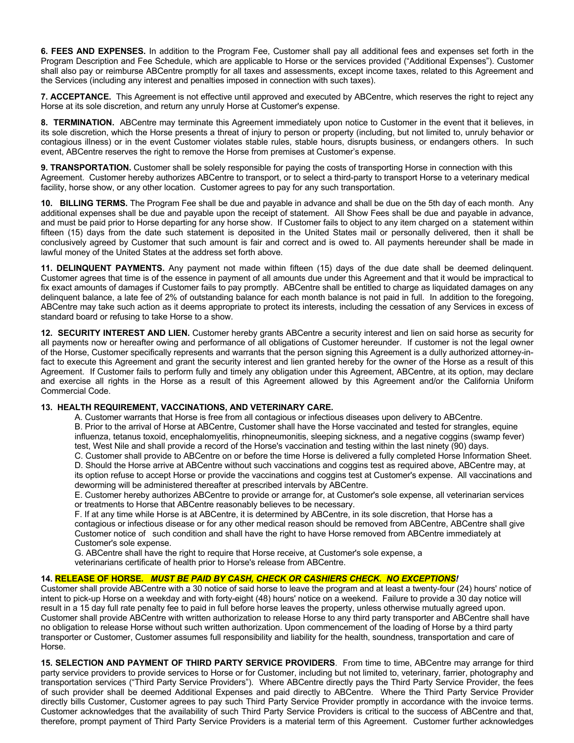**6. FEES AND EXPENSES.** In addition to the Program Fee, Customer shall pay all additional fees and expenses set forth in the Program Description and Fee Schedule, which are applicable to Horse or the services provided ("Additional Expenses"). Customer shall also pay or reimburse ABCentre promptly for all taxes and assessments, except income taxes, related to this Agreement and the Services (including any interest and penalties imposed in connection with such taxes).

**7. ACCEPTANCE.** This Agreement is not effective until approved and executed by ABCentre, which reserves the right to reject any Horse at its sole discretion, and return any unruly Horse at Customer's expense.

**8. TERMINATION.** ABCentre may terminate this Agreement immediately upon notice to Customer in the event that it believes, in its sole discretion, which the Horse presents a threat of injury to person or property (including, but not limited to, unruly behavior or contagious illness) or in the event Customer violates stable rules, stable hours, disrupts business, or endangers others. In such event, ABCentre reserves the right to remove the Horse from premises at Customer's expense.

**9. TRANSPORTATION.** Customer shall be solely responsible for paying the costs of transporting Horse in connection with this Agreement. Customer hereby authorizes ABCentre to transport, or to select a third-party to transport Horse to a veterinary medical facility, horse show, or any other location. Customer agrees to pay for any such transportation.

**10. BILLING TERMS.** The Program Fee shall be due and payable in advance and shall be due on the 5th day of each month. Any additional expenses shall be due and payable upon the receipt of statement. All Show Fees shall be due and payable in advance, and must be paid prior to Horse departing for any horse show. If Customer fails to object to any item charged on a statement within fifteen (15) days from the date such statement is deposited in the United States mail or personally delivered, then it shall be conclusively agreed by Customer that such amount is fair and correct and is owed to. All payments hereunder shall be made in lawful money of the United States at the address set forth above.

**11. DELINQUENT PAYMENTS.** Any payment not made within fifteen (15) days of the due date shall be deemed delinquent. Customer agrees that time is of the essence in payment of all amounts due under this Agreement and that it would be impractical to fix exact amounts of damages if Customer fails to pay promptly. ABCentre shall be entitled to charge as liquidated damages on any delinquent balance, a late fee of 2% of outstanding balance for each month balance is not paid in full. In addition to the foregoing, ABCentre may take such action as it deems appropriate to protect its interests, including the cessation of any Services in excess of standard board or refusing to take Horse to a show.

**12. SECURITY INTEREST AND LIEN.** Customer hereby grants ABCentre a security interest and lien on said horse as security for all payments now or hereafter owing and performance of all obligations of Customer hereunder. If customer is not the legal owner of the Horse, Customer specifically represents and warrants that the person signing this Agreement is a dully authorized attorney-infact to execute this Agreement and grant the security interest and lien granted hereby for the owner of the Horse as a result of this Agreement. If Customer fails to perform fully and timely any obligation under this Agreement, ABCentre, at its option, may declare and exercise all rights in the Horse as a result of this Agreement allowed by this Agreement and/or the California Uniform Commercial Code.

#### **13. HEALTH REQUIREMENT, VACCINATIONS, AND VETERINARY CARE.**

A. Customer warrants that Horse is free from all contagious or infectious diseases upon delivery to ABCentre.

B. Prior to the arrival of Horse at ABCentre, Customer shall have the Horse vaccinated and tested for strangles, equine influenza, tetanus toxoid, encephalomyelitis, rhinopneumonitis, sleeping sickness, and a negative coggins (swamp fever) test, West Nile and shall provide a record of the Horse's vaccination and testing within the last ninety (90) days.

C. Customer shall provide to ABCentre on or before the time Horse is delivered a fully completed Horse Information Sheet.

D. Should the Horse arrive at ABCentre without such vaccinations and coggins test as required above, ABCentre may, at its option refuse to accept Horse or provide the vaccinations and coggins test at Customer's expense. All vaccinations and deworming will be administered thereafter at prescribed intervals by ABCentre.

E. Customer hereby authorizes ABCentre to provide or arrange for, at Customer's sole expense, all veterinarian services or treatments to Horse that ABCentre reasonably believes to be necessary.

F. If at any time while Horse is at ABCentre, it is determined by ABCentre, in its sole discretion, that Horse has a contagious or infectious disease or for any other medical reason should be removed from ABCentre, ABCentre shall give Customer notice of such condition and shall have the right to have Horse removed from ABCentre immediately at Customer's sole expense.

G. ABCentre shall have the right to require that Horse receive, at Customer's sole expense, a veterinarians certificate of health prior to Horse's release from ABCentre.

#### **14. RELEASE OF HORSE.** *MUST BE PAID BY CASH, CHECK OR CASHIERS CHECK. NO EXCEPTIONS!*

Customer shall provide ABCentre with a 30 notice of said horse to leave the program and at least a twenty-four (24) hours' notice of intent to pick-up Horse on a weekday and with forty-eight (48) hours' notice on a weekend. Failure to provide a 30 day notice will result in a 15 day full rate penalty fee to paid in full before horse leaves the property, unless otherwise mutually agreed upon. Customer shall provide ABCentre with written authorization to release Horse to any third party transporter and ABCentre shall have no obligation to release Horse without such written authorization. Upon commencement of the loading of Horse by a third party transporter or Customer, Customer assumes full responsibility and liability for the health, soundness, transportation and care of Horse.

**15. SELECTION AND PAYMENT OF THIRD PARTY SERVICE PROVIDERS**. From time to time, ABCentre may arrange for third party service providers to provide services to Horse or for Customer, including but not limited to, veterinary, farrier, photography and transportation services ("Third Party Service Providers"). Where ABCentre directly pays the Third Party Service Provider, the fees of such provider shall be deemed Additional Expenses and paid directly to ABCentre. Where the Third Party Service Provider directly bills Customer, Customer agrees to pay such Third Party Service Provider promptly in accordance with the invoice terms. Customer acknowledges that the availability of such Third Party Service Providers is critical to the success of ABCentre and that, therefore, prompt payment of Third Party Service Providers is a material term of this Agreement. Customer further acknowledges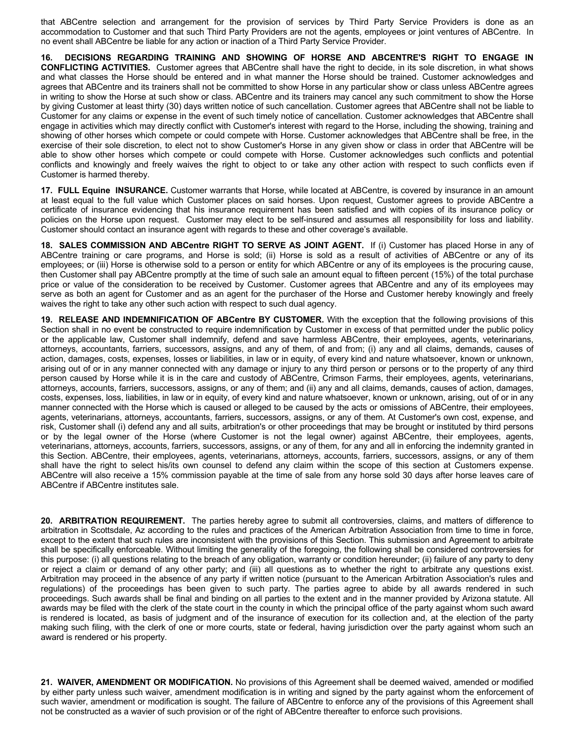that ABCentre selection and arrangement for the provision of services by Third Party Service Providers is done as an accommodation to Customer and that such Third Party Providers are not the agents, employees or joint ventures of ABCentre. In no event shall ABCentre be liable for any action or inaction of a Third Party Service Provider.

**16. DECISIONS REGARDING TRAINING AND SHOWING OF HORSE AND ABCENTRE'S RIGHT TO ENGAGE IN CONFLICTING ACTIVITIES.** Customer agrees that ABCentre shall have the right to decide, in its sole discretion, in what shows and what classes the Horse should be entered and in what manner the Horse should be trained. Customer acknowledges and agrees that ABCentre and its trainers shall not be committed to show Horse in any particular show or class unless ABCentre agrees in writing to show the Horse at such show or class. ABCentre and its trainers may cancel any such commitment to show the Horse by giving Customer at least thirty (30) days written notice of such cancellation. Customer agrees that ABCentre shall not be liable to Customer for any claims or expense in the event of such timely notice of cancellation. Customer acknowledges that ABCentre shall engage in activities which may directly conflict with Customer's interest with regard to the Horse, including the showing, training and showing of other horses which compete or could compete with Horse. Customer acknowledges that ABCentre shall be free, in the exercise of their sole discretion, to elect not to show Customer's Horse in any given show or class in order that ABCentre will be able to show other horses which compete or could compete with Horse. Customer acknowledges such conflicts and potential conflicts and knowingly and freely waives the right to object to or take any other action with respect to such conflicts even if Customer is harmed thereby.

**17. FULL Equine INSURANCE.** Customer warrants that Horse, while located at ABCentre, is covered by insurance in an amount at least equal to the full value which Customer places on said horses. Upon request, Customer agrees to provide ABCentre a certificate of insurance evidencing that his insurance requirement has been satisfied and with copies of its insurance policy or policies on the Horse upon request. Customer may elect to be self-insured and assumes all responsibility for loss and liability. Customer should contact an insurance agent with regards to these and other coverage's available.

**18. SALES COMMISSION AND ABCentre RIGHT TO SERVE AS JOINT AGENT.** If (i) Customer has placed Horse in any of ABCentre training or care programs, and Horse is sold; (ii) Horse is sold as a result of activities of ABCentre or any of its employees; or (iii) Horse is otherwise sold to a person or entity for which ABCentre or any of its employees is the procuring cause, then Customer shall pay ABCentre promptly at the time of such sale an amount equal to fifteen percent (15%) of the total purchase price or value of the consideration to be received by Customer. Customer agrees that ABCentre and any of its employees may serve as both an agent for Customer and as an agent for the purchaser of the Horse and Customer hereby knowingly and freely waives the right to take any other such action with respect to such dual agency.

**19. RELEASE AND INDEMNIFICATION OF ABCentre BY CUSTOMER.** With the exception that the following provisions of this Section shall in no event be constructed to require indemnification by Customer in excess of that permitted under the public policy or the applicable law, Customer shall indemnify, defend and save harmless ABCentre, their employees, agents, veterinarians, attorneys, accountants, farriers, successors, assigns, and any of them, of and from; (i) any and all claims, demands, causes of action, damages, costs, expenses, losses or liabilities, in law or in equity, of every kind and nature whatsoever, known or unknown, arising out of or in any manner connected with any damage or injury to any third person or persons or to the property of any third person caused by Horse while it is in the care and custody of ABCentre, Crimson Farms, their employees, agents, veterinarians, attorneys, accounts, farriers, successors, assigns, or any of them; and (ii) any and all claims, demands, causes of action, damages, costs, expenses, loss, liabilities, in law or in equity, of every kind and nature whatsoever, known or unknown, arising, out of or in any manner connected with the Horse which is caused or alleged to be caused by the acts or omissions of ABCentre, their employees, agents, veterinarians, attorneys, accountants, farriers, successors, assigns, or any of them. At Customer's own cost, expense, and risk, Customer shall (i) defend any and all suits, arbitration's or other proceedings that may be brought or instituted by third persons or by the legal owner of the Horse (where Customer is not the legal owner) against ABCentre, their employees, agents, veterinarians, attorneys, accounts, farriers, successors, assigns, or any of them, for any and all in enforcing the indemnity granted in this Section. ABCentre, their employees, agents, veterinarians, attorneys, accounts, farriers, successors, assigns, or any of them shall have the right to select his/its own counsel to defend any claim within the scope of this section at Customers expense. ABCentre will also receive a 15% commission payable at the time of sale from any horse sold 30 days after horse leaves care of ABCentre if ABCentre institutes sale.

**20. ARBITRATION REQUIREMENT.** The parties hereby agree to submit all controversies, claims, and matters of difference to arbitration in Scottsdale, Az according to the rules and practices of the American Arbitration Association from time to time in force, except to the extent that such rules are inconsistent with the provisions of this Section. This submission and Agreement to arbitrate shall be specifically enforceable. Without limiting the generality of the foregoing, the following shall be considered controversies for this purpose: (i) all questions relating to the breach of any obligation, warranty or condition hereunder; (ii) failure of any party to deny or reject a claim or demand of any other party; and (iii) all questions as to whether the right to arbitrate any questions exist. Arbitration may proceed in the absence of any party if written notice (pursuant to the American Arbitration Association's rules and regulations) of the proceedings has been given to such party. The parties agree to abide by all awards rendered in such proceedings. Such awards shall be final and binding on all parties to the extent and in the manner provided by Arizona statute. All awards may be filed with the clerk of the state court in the county in which the principal office of the party against whom such award is rendered is located, as basis of judgment and of the insurance of execution for its collection and, at the election of the party making such filing, with the clerk of one or more courts, state or federal, having jurisdiction over the party against whom such an award is rendered or his property.

**21. WAIVER, AMENDMENT OR MODIFICATION.** No provisions of this Agreement shall be deemed waived, amended or modified by either party unless such waiver, amendment modification is in writing and signed by the party against whom the enforcement of such wavier, amendment or modification is sought. The failure of ABCentre to enforce any of the provisions of this Agreement shall not be constructed as a wavier of such provision or of the right of ABCentre thereafter to enforce such provisions.